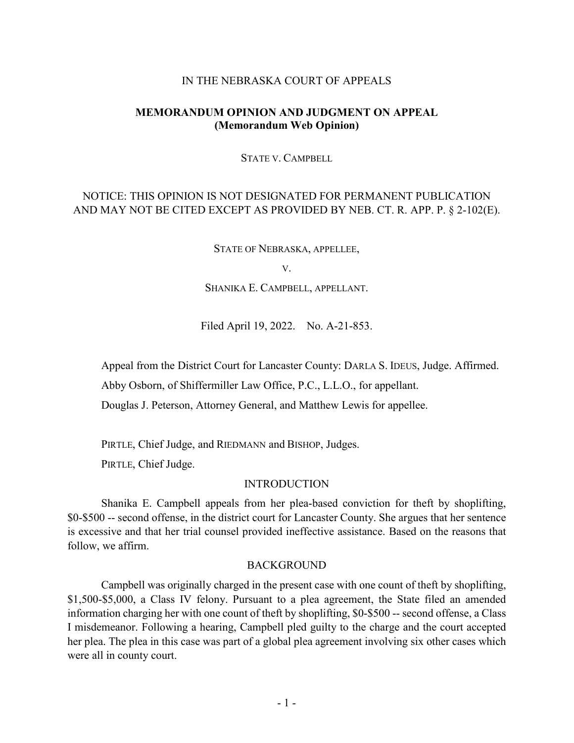#### IN THE NEBRASKA COURT OF APPEALS

## **MEMORANDUM OPINION AND JUDGMENT ON APPEAL (Memorandum Web Opinion)**

STATE V. CAMPBELL

# NOTICE: THIS OPINION IS NOT DESIGNATED FOR PERMANENT PUBLICATION AND MAY NOT BE CITED EXCEPT AS PROVIDED BY NEB. CT. R. APP. P. § 2-102(E).

STATE OF NEBRASKA, APPELLEE,

V.

SHANIKA E. CAMPBELL, APPELLANT.

Filed April 19, 2022. No. A-21-853.

Appeal from the District Court for Lancaster County: DARLA S. IDEUS, Judge. Affirmed.

Abby Osborn, of Shiffermiller Law Office, P.C., L.L.O., for appellant.

Douglas J. Peterson, Attorney General, and Matthew Lewis for appellee.

PIRTLE, Chief Judge, and RIEDMANN and BISHOP, Judges.

PIRTLE, Chief Judge.

#### INTRODUCTION

Shanika E. Campbell appeals from her plea-based conviction for theft by shoplifting, \$0-\$500 -- second offense, in the district court for Lancaster County. She argues that her sentence is excessive and that her trial counsel provided ineffective assistance. Based on the reasons that follow, we affirm.

#### BACKGROUND

Campbell was originally charged in the present case with one count of theft by shoplifting, \$1,500-\$5,000, a Class IV felony. Pursuant to a plea agreement, the State filed an amended information charging her with one count of theft by shoplifting, \$0-\$500 -- second offense, a Class I misdemeanor. Following a hearing, Campbell pled guilty to the charge and the court accepted her plea. The plea in this case was part of a global plea agreement involving six other cases which were all in county court.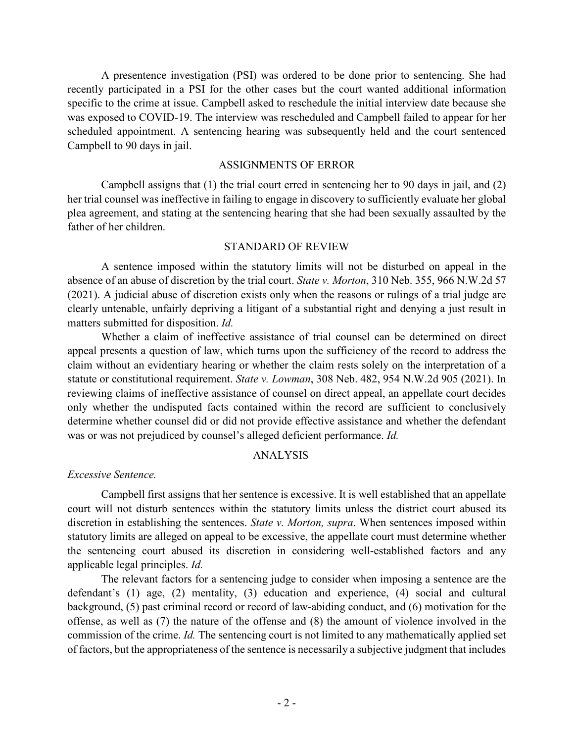A presentence investigation (PSI) was ordered to be done prior to sentencing. She had recently participated in a PSI for the other cases but the court wanted additional information specific to the crime at issue. Campbell asked to reschedule the initial interview date because she was exposed to COVID-19. The interview was rescheduled and Campbell failed to appear for her scheduled appointment. A sentencing hearing was subsequently held and the court sentenced Campbell to 90 days in jail.

#### ASSIGNMENTS OF ERROR

Campbell assigns that (1) the trial court erred in sentencing her to 90 days in jail, and (2) her trial counsel was ineffective in failing to engage in discovery to sufficiently evaluate her global plea agreement, and stating at the sentencing hearing that she had been sexually assaulted by the father of her children.

#### STANDARD OF REVIEW

A sentence imposed within the statutory limits will not be disturbed on appeal in the absence of an abuse of discretion by the trial court. *State v. Morton*, 310 Neb. 355, 966 N.W.2d 57 (2021). A judicial abuse of discretion exists only when the reasons or rulings of a trial judge are clearly untenable, unfairly depriving a litigant of a substantial right and denying a just result in matters submitted for disposition. *Id.*

Whether a claim of ineffective assistance of trial counsel can be determined on direct appeal presents a question of law, which turns upon the sufficiency of the record to address the claim without an evidentiary hearing or whether the claim rests solely on the interpretation of a statute or constitutional requirement. *State v. Lowman*, 308 Neb. 482, 954 N.W.2d 905 (2021). In reviewing claims of ineffective assistance of counsel on direct appeal, an appellate court decides only whether the undisputed facts contained within the record are sufficient to conclusively determine whether counsel did or did not provide effective assistance and whether the defendant was or was not prejudiced by counsel's alleged deficient performance. *Id.*

#### ANALYSIS

*Excessive Sentence.*

Campbell first assigns that her sentence is excessive. It is well established that an appellate court will not disturb sentences within the statutory limits unless the district court abused its discretion in establishing the sentences. *State v. Morton, supra*. When sentences imposed within statutory limits are alleged on appeal to be excessive, the appellate court must determine whether the sentencing court abused its discretion in considering well-established factors and any applicable legal principles. *Id.*

The relevant factors for a sentencing judge to consider when imposing a sentence are the defendant's (1) age, (2) mentality, (3) education and experience, (4) social and cultural background, (5) past criminal record or record of law-abiding conduct, and (6) motivation for the offense, as well as (7) the nature of the offense and (8) the amount of violence involved in the commission of the crime. *Id.* The sentencing court is not limited to any mathematically applied set of factors, but the appropriateness of the sentence is necessarily a subjective judgment that includes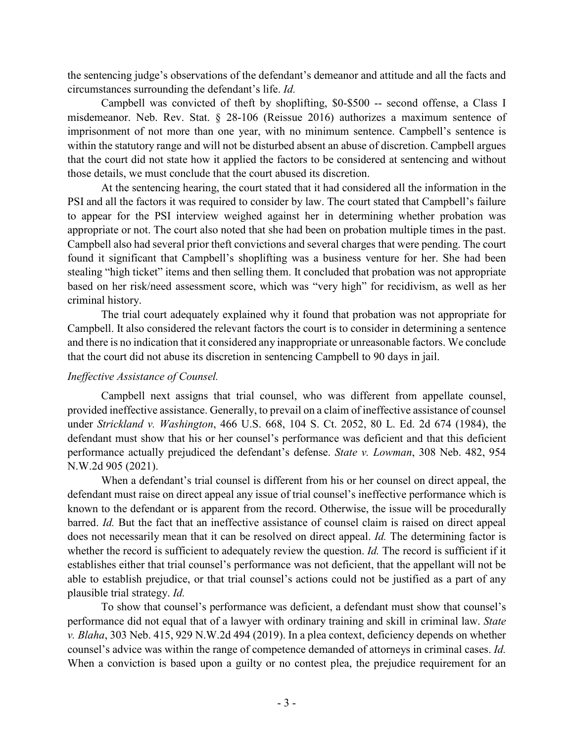the sentencing judge's observations of the defendant's demeanor and attitude and all the facts and circumstances surrounding the defendant's life. *Id.*

Campbell was convicted of theft by shoplifting, \$0-\$500 -- second offense, a Class I misdemeanor. Neb. Rev. Stat. § 28-106 (Reissue 2016) authorizes a maximum sentence of imprisonment of not more than one year, with no minimum sentence. Campbell's sentence is within the statutory range and will not be disturbed absent an abuse of discretion. Campbell argues that the court did not state how it applied the factors to be considered at sentencing and without those details, we must conclude that the court abused its discretion.

At the sentencing hearing, the court stated that it had considered all the information in the PSI and all the factors it was required to consider by law. The court stated that Campbell's failure to appear for the PSI interview weighed against her in determining whether probation was appropriate or not. The court also noted that she had been on probation multiple times in the past. Campbell also had several prior theft convictions and several charges that were pending. The court found it significant that Campbell's shoplifting was a business venture for her. She had been stealing "high ticket" items and then selling them. It concluded that probation was not appropriate based on her risk/need assessment score, which was "very high" for recidivism, as well as her criminal history.

The trial court adequately explained why it found that probation was not appropriate for Campbell. It also considered the relevant factors the court is to consider in determining a sentence and there is no indication that it considered any inappropriate or unreasonable factors. We conclude that the court did not abuse its discretion in sentencing Campbell to 90 days in jail.

## *Ineffective Assistance of Counsel.*

Campbell next assigns that trial counsel, who was different from appellate counsel, provided ineffective assistance. Generally, to prevail on a claim of ineffective assistance of counsel under *Strickland v. Washington*, 466 U.S. 668, 104 S. Ct. 2052, 80 L. Ed. 2d 674 (1984), the defendant must show that his or her counsel's performance was deficient and that this deficient performance actually prejudiced the defendant's defense. *State v. Lowman*, 308 Neb. 482, 954 N.W.2d 905 (2021).

When a defendant's trial counsel is different from his or her counsel on direct appeal, the defendant must raise on direct appeal any issue of trial counsel's ineffective performance which is known to the defendant or is apparent from the record. Otherwise, the issue will be procedurally barred. *Id.* But the fact that an ineffective assistance of counsel claim is raised on direct appeal does not necessarily mean that it can be resolved on direct appeal. *Id.* The determining factor is whether the record is sufficient to adequately review the question. *Id*. The record is sufficient if it establishes either that trial counsel's performance was not deficient, that the appellant will not be able to establish prejudice, or that trial counsel's actions could not be justified as a part of any plausible trial strategy. *Id.*

To show that counsel's performance was deficient, a defendant must show that counsel's performance did not equal that of a lawyer with ordinary training and skill in criminal law. *State v. Blaha*, 303 Neb. 415, 929 N.W.2d 494 (2019). In a plea context, deficiency depends on whether counsel's advice was within the range of competence demanded of attorneys in criminal cases. *Id.* When a conviction is based upon a guilty or no contest plea, the prejudice requirement for an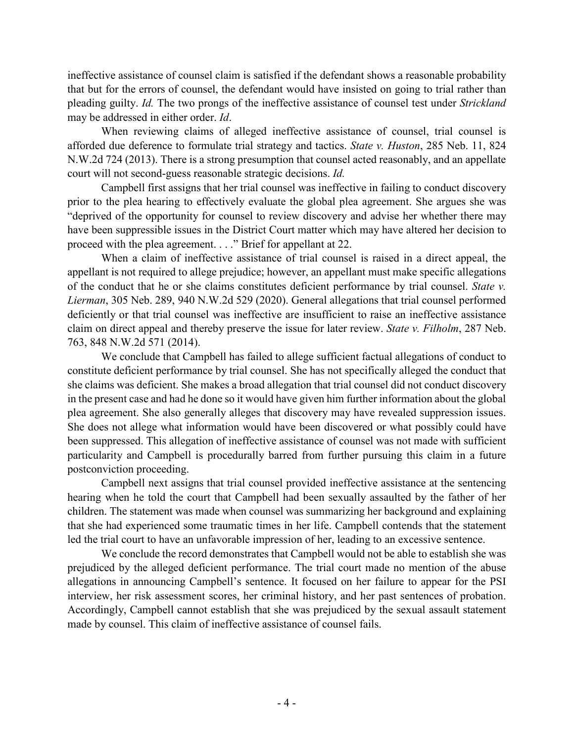ineffective assistance of counsel claim is satisfied if the defendant shows a reasonable probability that but for the errors of counsel, the defendant would have insisted on going to trial rather than pleading guilty. *Id.* The two prongs of the ineffective assistance of counsel test under *Strickland* may be addressed in either order. *Id*.

When reviewing claims of alleged ineffective assistance of counsel, trial counsel is afforded due deference to formulate trial strategy and tactics. *State v. Huston*, 285 Neb. 11, 824 N.W.2d 724 (2013). There is a strong presumption that counsel acted reasonably, and an appellate court will not second-guess reasonable strategic decisions. *Id.*

Campbell first assigns that her trial counsel was ineffective in failing to conduct discovery prior to the plea hearing to effectively evaluate the global plea agreement. She argues she was "deprived of the opportunity for counsel to review discovery and advise her whether there may have been suppressible issues in the District Court matter which may have altered her decision to proceed with the plea agreement. . . ." Brief for appellant at 22.

When a claim of ineffective assistance of trial counsel is raised in a direct appeal, the appellant is not required to allege prejudice; however, an appellant must make specific allegations of the conduct that he or she claims constitutes deficient performance by trial counsel. *State v. Lierman*, 305 Neb. 289, 940 N.W.2d 529 (2020). General allegations that trial counsel performed deficiently or that trial counsel was ineffective are insufficient to raise an ineffective assistance claim on direct appeal and thereby preserve the issue for later review. *State v. Filholm*, 287 Neb. 763, 848 N.W.2d 571 (2014).

We conclude that Campbell has failed to allege sufficient factual allegations of conduct to constitute deficient performance by trial counsel. She has not specifically alleged the conduct that she claims was deficient. She makes a broad allegation that trial counsel did not conduct discovery in the present case and had he done so it would have given him further information about the global plea agreement. She also generally alleges that discovery may have revealed suppression issues. She does not allege what information would have been discovered or what possibly could have been suppressed. This allegation of ineffective assistance of counsel was not made with sufficient particularity and Campbell is procedurally barred from further pursuing this claim in a future postconviction proceeding.

Campbell next assigns that trial counsel provided ineffective assistance at the sentencing hearing when he told the court that Campbell had been sexually assaulted by the father of her children. The statement was made when counsel was summarizing her background and explaining that she had experienced some traumatic times in her life. Campbell contends that the statement led the trial court to have an unfavorable impression of her, leading to an excessive sentence.

We conclude the record demonstrates that Campbell would not be able to establish she was prejudiced by the alleged deficient performance. The trial court made no mention of the abuse allegations in announcing Campbell's sentence. It focused on her failure to appear for the PSI interview, her risk assessment scores, her criminal history, and her past sentences of probation. Accordingly, Campbell cannot establish that she was prejudiced by the sexual assault statement made by counsel. This claim of ineffective assistance of counsel fails.